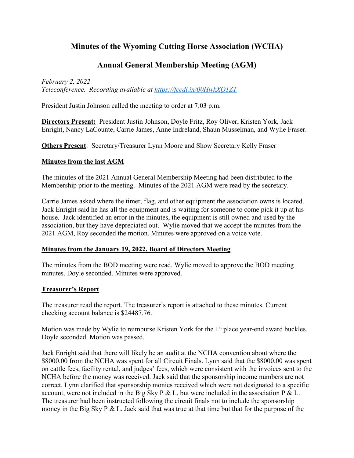### **Minutes of the Wyoming Cutting Horse Association (WCHA)**

### **Annual General Membership Meeting (AGM)**

*February 2, 2022 Teleconference. Recording available at https://fccdl.in/00HwkXQ1ZT*

President Justin Johnson called the meeting to order at 7:03 p.m.

**Directors Present:** President Justin Johnson, Doyle Fritz, Roy Oliver, Kristen York, Jack Enright, Nancy LaCounte, Carrie James, Anne Indreland, Shaun Musselman, and Wylie Fraser.

**Others Present**: Secretary/Treasurer Lynn Moore and Show Secretary Kelly Fraser

#### **Minutes from the last AGM**

The minutes of the 2021 Annual General Membership Meeting had been distributed to the Membership prior to the meeting. Minutes of the 2021 AGM were read by the secretary.

Carrie James asked where the timer, flag, and other equipment the association owns is located. Jack Enright said he has all the equipment and is waiting for someone to come pick it up at his house. Jack identified an error in the minutes, the equipment is still owned and used by the association, but they have depreciated out. Wylie moved that we accept the minutes from the 2021 AGM, Roy seconded the motion. Minutes were approved on a voice vote.

#### **Minutes from the January 19, 2022, Board of Directors Meeting**

The minutes from the BOD meeting were read. Wylie moved to approve the BOD meeting minutes. Doyle seconded. Minutes were approved.

#### **Treasurer's Report**

The treasurer read the report. The treasurer's report is attached to these minutes. Current checking account balance is \$24487.76.

Motion was made by Wylie to reimburse Kristen York for the 1<sup>st</sup> place year-end award buckles. Doyle seconded. Motion was passed.

Jack Enright said that there will likely be an audit at the NCHA convention about where the \$8000.00 from the NCHA was spent for all Circuit Finals. Lynn said that the \$8000.00 was spent on cattle fees, facility rental, and judges' fees, which were consistent with the invoices sent to the NCHA before the money was received. Jack said that the sponsorship income numbers are not correct. Lynn clarified that sponsorship monies received which were not designated to a specific account, were not included in the Big Sky P & L, but were included in the association P & L. The treasurer had been instructed following the circuit finals not to include the sponsorship money in the Big Sky P  $&$  L. Jack said that was true at that time but that for the purpose of the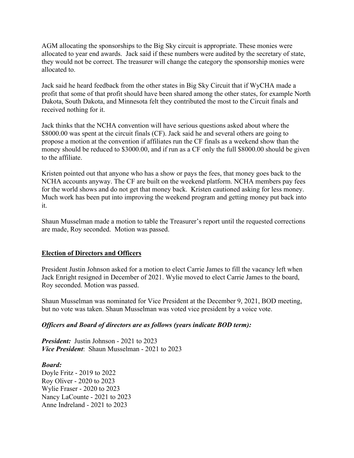AGM allocating the sponsorships to the Big Sky circuit is appropriate. These monies were allocated to year end awards. Jack said if these numbers were audited by the secretary of state, they would not be correct. The treasurer will change the category the sponsorship monies were allocated to.

Jack said he heard feedback from the other states in Big Sky Circuit that if WyCHA made a profit that some of that profit should have been shared among the other states, for example North Dakota, South Dakota, and Minnesota felt they contributed the most to the Circuit finals and received nothing for it.

Jack thinks that the NCHA convention will have serious questions asked about where the \$8000.00 was spent at the circuit finals (CF). Jack said he and several others are going to propose a motion at the convention if affiliates run the CF finals as a weekend show than the money should be reduced to \$3000.00, and if run as a CF only the full \$8000.00 should be given to the affiliate.

Kristen pointed out that anyone who has a show or pays the fees, that money goes back to the NCHA accounts anyway. The CF are built on the weekend platform. NCHA members pay fees for the world shows and do not get that money back. Kristen cautioned asking for less money. Much work has been put into improving the weekend program and getting money put back into it.

Shaun Musselman made a motion to table the Treasurer's report until the requested corrections are made, Roy seconded. Motion was passed.

#### **Election of Directors and Officers**

President Justin Johnson asked for a motion to elect Carrie James to fill the vacancy left when Jack Enright resigned in December of 2021. Wylie moved to elect Carrie James to the board, Roy seconded. Motion was passed.

Shaun Musselman was nominated for Vice President at the December 9, 2021, BOD meeting, but no vote was taken. Shaun Musselman was voted vice president by a voice vote.

#### *Officers and Board of directors are as follows (years indicate BOD term):*

*President:* Justin Johnson - 2021 to 2023 *Vice President*: Shaun Musselman - 2021 to 2023

#### *Board:*

Doyle Fritz - 2019 to 2022 Roy Oliver - 2020 to 2023 Wylie Fraser - 2020 to 2023 Nancy LaCounte - 2021 to 2023 Anne Indreland - 2021 to 2023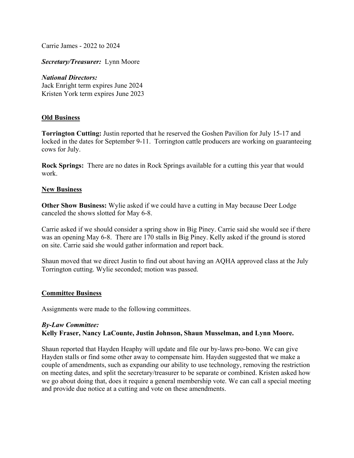Carrie James - 2022 to 2024

*Secretary/Treasurer:* Lynn Moore

*National Directors:* Jack Enright term expires June 2024 Kristen York term expires June 2023

#### **Old Business**

**Torrington Cutting:** Justin reported that he reserved the Goshen Pavilion for July 15-17 and locked in the dates for September 9-11. Torrington cattle producers are working on guaranteeing cows for July.

**Rock Springs:** There are no dates in Rock Springs available for a cutting this year that would work.

#### **New Business**

**Other Show Business:** Wylie asked if we could have a cutting in May because Deer Lodge canceled the shows slotted for May 6-8.

Carrie asked if we should consider a spring show in Big Piney. Carrie said she would see if there was an opening May 6-8. There are 170 stalls in Big Piney. Kelly asked if the ground is stored on site. Carrie said she would gather information and report back.

Shaun moved that we direct Justin to find out about having an AQHA approved class at the July Torrington cutting. Wylie seconded; motion was passed.

#### **Committee Business**

Assignments were made to the following committees.

#### *By-Law Committee:*  **Kelly Fraser, Nancy LaCounte, Justin Johnson, Shaun Musselman, and Lynn Moore.**

Shaun reported that Hayden Heaphy will update and file our by-laws pro-bono. We can give Hayden stalls or find some other away to compensate him. Hayden suggested that we make a couple of amendments, such as expanding our ability to use technology, removing the restriction on meeting dates, and split the secretary/treasurer to be separate or combined. Kristen asked how we go about doing that, does it require a general membership vote. We can call a special meeting and provide due notice at a cutting and vote on these amendments.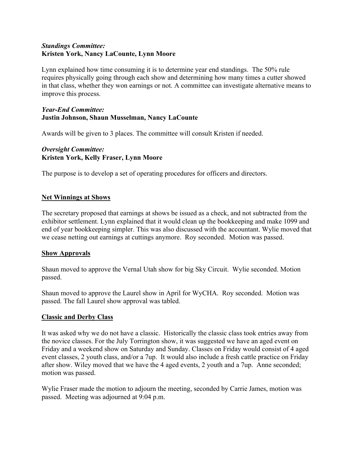#### *Standings Committee:* **Kristen York, Nancy LaCounte, Lynn Moore**

Lynn explained how time consuming it is to determine year end standings. The 50% rule requires physically going through each show and determining how many times a cutter showed in that class, whether they won earnings or not. A committee can investigate alternative means to improve this process.

#### *Year-End Committee:* **Justin Johnson, Shaun Musselman, Nancy LaCounte**

Awards will be given to 3 places. The committee will consult Kristen if needed.

#### *Oversight Committee:* **Kristen York, Kelly Fraser, Lynn Moore**

The purpose is to develop a set of operating procedures for officers and directors.

#### **Net Winnings at Shows**

The secretary proposed that earnings at shows be issued as a check, and not subtracted from the exhibitor settlement. Lynn explained that it would clean up the bookkeeping and make 1099 and end of year bookkeeping simpler. This was also discussed with the accountant. Wylie moved that we cease netting out earnings at cuttings anymore. Roy seconded. Motion was passed.

#### **Show Approvals**

Shaun moved to approve the Vernal Utah show for big Sky Circuit. Wylie seconded. Motion passed.

Shaun moved to approve the Laurel show in April for WyCHA. Roy seconded. Motion was passed. The fall Laurel show approval was tabled.

#### **Classic and Derby Class**

It was asked why we do not have a classic. Historically the classic class took entries away from the novice classes. For the July Torrington show, it was suggested we have an aged event on Friday and a weekend show on Saturday and Sunday. Classes on Friday would consist of 4 aged event classes, 2 youth class, and/or a 7up. It would also include a fresh cattle practice on Friday after show. Wiley moved that we have the 4 aged events, 2 youth and a 7up. Anne seconded; motion was passed.

Wylie Fraser made the motion to adjourn the meeting, seconded by Carrie James, motion was passed. Meeting was adjourned at 9:04 p.m.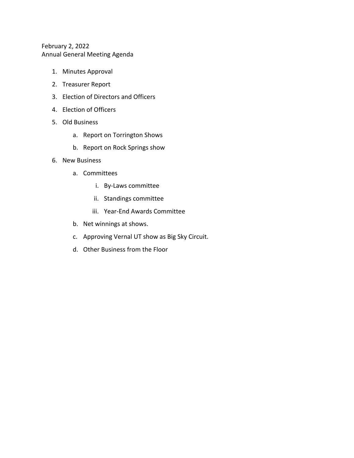#### February 2, 2022 Annual General Meeting Agenda

- 1. Minutes Approval
- 2. Treasurer Report
- 3. Election of Directors and Officers
- 4. Election of Officers
- 5. Old Business
	- a. Report on Torrington Shows
	- b. Report on Rock Springs show
- 6. New Business
	- a. Committees
		- i. By-Laws committee
		- ii. Standings committee
		- iii. Year-End Awards Committee
	- b. Net winnings at shows.
	- c. Approving Vernal UT show as Big Sky Circuit.
	- d. Other Business from the Floor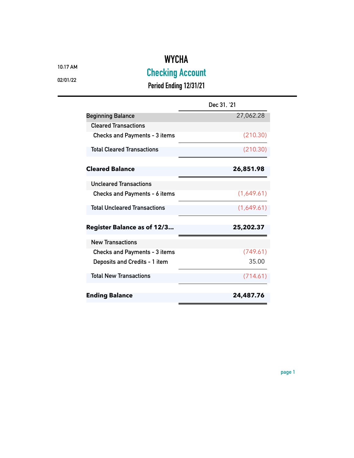## **WYCHA**

**10:17 AM**

**Checking Account**

**02/01/22**

**Period Ending 12/31/21**

|                                      | Dec 31, '21 |
|--------------------------------------|-------------|
| <b>Beginning Balance</b>             | 27,062.28   |
| <b>Cleared Transactions</b>          |             |
| <b>Checks and Payments - 3 items</b> | (210.30)    |
| <b>Total Cleared Transactions</b>    | (210.30)    |
| <b>Cleared Balance</b>               | 26,851.98   |
| <b>Uncleared Transactions</b>        |             |
| Checks and Payments - 6 items        | (1,649.61)  |
| <b>Total Uncleared Transactions</b>  | (1,649.61)  |
| <b>Register Balance as of 12/3</b>   | 25,202.37   |
| <b>New Transactions</b>              |             |
| <b>Checks and Payments - 3 items</b> | (749.61)    |
| Deposits and Credits - 1 item        | 35.00       |
| <b>Total New Transactions</b>        | (714.61)    |
| <b>Ending Balance</b>                | 24,487.76   |

**page 1**